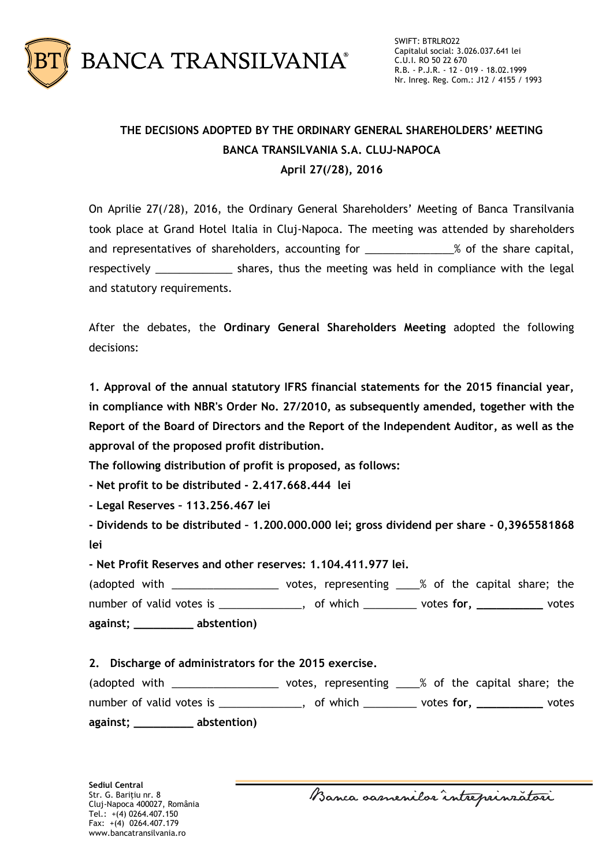

## **THE DECISIONS ADOPTED BY THE ORDINARY GENERAL SHAREHOLDERS' MEETING BANCA TRANSILVANIA S.A. CLUJ-NAPOCA April 27(/28), 2016**

On Aprilie 27(/28), 2016, the Ordinary General Shareholders' Meeting of Banca Transilvania took place at Grand Hotel Italia in Cluj-Napoca. The meeting was attended by shareholders and representatives of shareholders, accounting for \_\_\_\_\_\_\_\_\_\_\_\_\_\_% of the share capital, respectively entitled in the shares, thus the meeting was held in compliance with the legal and statutory requirements.

After the debates, the **Ordinary General Shareholders Meeting** adopted the following decisions:

**1. Approval of the annual statutory IFRS financial statements for the 2015 financial year, in compliance with NBR's Order No. 27/2010, as subsequently amended, together with the Report of the Board of Directors and the Report of the Independent Auditor, as well as the approval of the proposed profit distribution.**

**The following distribution of profit is proposed, as follows:**

**- Net profit to be distributed - 2.417.668.444 lei**

**- Legal Reserves – 113.256.467 lei**

**- Dividends to be distributed – 1.200.000.000 lei; gross dividend per share - 0,3965581868 lei**

**- Net Profit Reserves and other reserves: 1.104.411.977 lei.**

(adopted with \_\_\_\_\_\_\_\_\_\_\_\_\_\_\_\_\_\_\_\_\_\_ votes, representing \_\_\_\_% of the capital share; the number of valid votes is \_\_\_\_\_\_\_\_\_\_\_\_\_\_, of which \_\_\_\_\_\_\_\_\_ votes **for, \_\_\_\_\_\_\_\_\_\_** votes **against; \_\_\_\_\_\_\_\_\_ abstention)**

## **2. Discharge of administrators for the 2015 exercise.**

| (adopted with             | votes, representing ____% of the capital share; the |                 |       |
|---------------------------|-----------------------------------------------------|-----------------|-------|
| number of valid votes is  | , of which                                          | votes for, $\_$ | votes |
| abstention)<br>against; _ |                                                     |                 |       |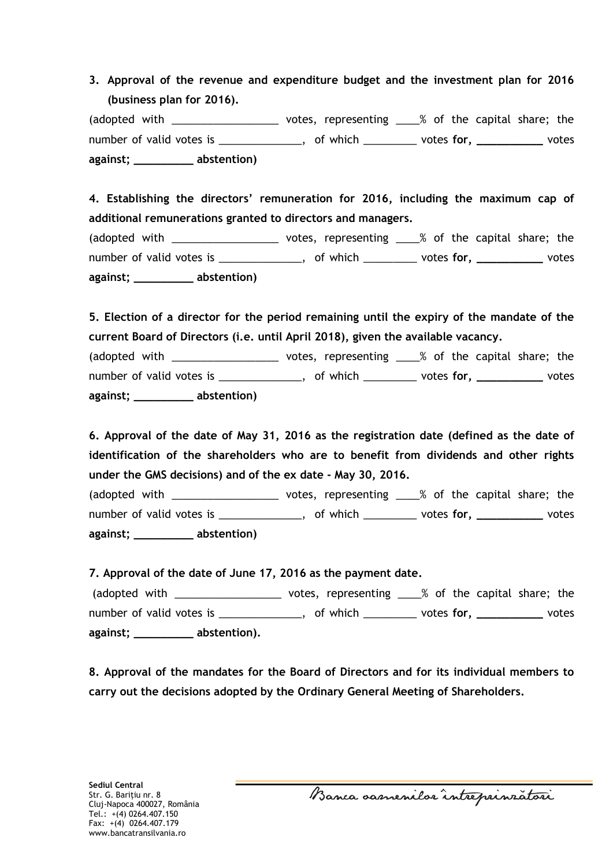**3. Approval of the revenue and expenditure budget and the investment plan for 2016 (business plan for 2016).**

(adopted with \_\_\_\_\_\_\_\_\_\_\_\_\_\_\_\_\_\_\_\_\_\_ votes, representing \_\_\_\_% of the capital share; the number of valid votes is \_\_\_\_\_\_\_\_\_\_\_\_\_\_, of which \_\_\_\_\_\_\_\_\_ votes **for, \_\_\_\_\_\_\_\_\_\_** votes **against; \_\_\_\_\_\_\_\_\_ abstention)**

**4. Establishing the directors' remuneration for 2016, including the maximum cap of additional remunerations granted to directors and managers.** (adopted with \_\_\_\_\_\_\_\_\_\_\_\_\_\_\_\_\_\_\_\_\_\_ votes, representing \_\_\_\_% of the capital share; the number of valid votes is \_\_\_\_\_\_\_\_\_\_\_\_\_\_, of which \_\_\_\_\_\_\_\_\_ votes **for, \_\_\_\_\_\_\_\_\_\_** votes **against; \_\_\_\_\_\_\_\_\_ abstention)**

**5. Election of a director for the period remaining until the expiry of the mandate of the current Board of Directors (i.e. until April 2018), given the available vacancy.**

(adopted with \_\_\_\_\_\_\_\_\_\_\_\_\_\_\_\_\_\_\_\_\_\_ votes, representing \_\_\_\_% of the capital share; the number of valid votes is \_\_\_\_\_\_\_\_\_\_\_\_\_\_, of which \_\_\_\_\_\_\_\_\_ votes **for, \_\_\_\_\_\_\_\_\_\_** votes **against; \_\_\_\_\_\_\_\_\_ abstention)**

**6. Approval of the date of May 31, 2016 as the registration date (defined as the date of identification of the shareholders who are to benefit from dividends and other rights under the GMS decisions) and of the ex date - May 30, 2016.**

(adopted with \_\_\_\_\_\_\_\_\_\_\_\_\_\_\_\_\_\_\_\_\_\_ votes, representing \_\_\_\_% of the capital share; the number of valid votes is \_\_\_\_\_\_\_\_\_\_\_\_\_\_, of which \_\_\_\_\_\_\_\_\_ votes **for, \_\_\_\_\_\_\_\_\_\_** votes **against; \_\_\_\_\_\_\_\_\_ abstention)**

**7. Approval of the date of June 17, 2016 as the payment date.**

(adopted with \_\_\_\_\_\_\_\_\_\_\_\_\_\_\_\_\_\_\_\_\_\_ votes, representing \_\_\_\_% of the capital share; the number of valid votes is \_\_\_\_\_\_\_\_\_\_\_\_\_\_, of which \_\_\_\_\_\_\_\_\_ votes **for, \_\_\_\_\_\_\_\_\_\_** votes **against; \_\_\_\_\_\_\_\_\_ abstention).**

**8. Approval of the mandates for the Board of Directors and for its individual members to carry out the decisions adopted by the Ordinary General Meeting of Shareholders.**